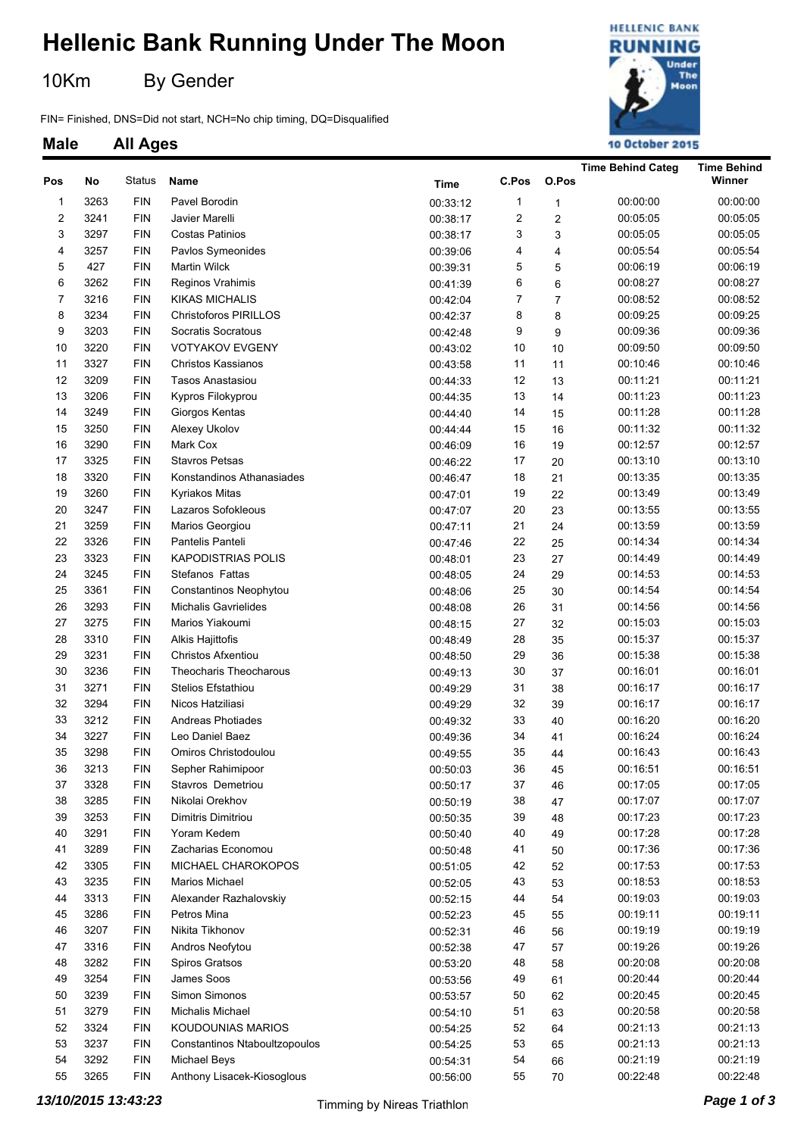### **Hellenic Bank Running Under The Moon**

10Km By Gender

**Male All Ages**

FIN= Finished, DNS=Did not start, NCH=No chip timing, DQ=Disqualified



**Time Behind Categ Time Behind**

#### **Pos No Name Time C.Pos O.Pos** Status **Winner** 1 3263 Pavel Borodin FIN 00:33:12 1 1 00:00:00 00:00:00 2 3241 Javier Marelli FIN 00:38:17 2 2 00:05:05 00:05:05 3 3297 Costas Patinios FIN 00:38:17 3 3 00:05:05 00:05:05 4 3257 FIN Pavlos Symeonides 6 1 00:39:06 4 4 00:05:54 00:05:54 00:05:54 5 427 Martin Wilck FIN 00:39:31 5 5 00:06:19 00:06:19 6 3262 Reginos Vrahimis FIN 00:41:39 6 6 00:08:27 00:08:27 7 3216 KIKAS MICHALIS FIN 00:42:04 7 7 00:08:52 00:08:52 8 3234 FIN Christoforos PIRILLOS 60:42:37 8 8 00:09:25 00:09:25 00:09:25 9 3203 Socratis Socratous FIN 00:42:48 9 9 00:09:36 00:09:36 10 3220 VOTYAKOV EVGEN FIN Y 00:43:02 10 10 00:09:50 00:09:50 11 3327 Christos Kassianos FIN 00:43:58 11 11 00:10:46 00:10:46 12 3209 Tasos Anastasiou FIN 00:44:33 12 13 00:11:21 00:11:21 13 3206 Kypros Filokyprou FIN 00:44:35 13 14 00:11:23 00:11:23 14 3249 Giorgos Kentas FIN 00:44:40 14 15 00:11:28 00:11:28 15 3250 FIN Alexey Ukolov 00:44:44 15 16 00:11:32 00:11:32 16 3290 Mark Cox FIN 00:46:09 16 19 00:12:57 00:12:57 17 3325 Stavros Petsas FIN 00:46:22 17 20 00:13:10 00:13:10 18 3320 Konstandinos Athanasiades FIN 00:46:47 18 21 00:13:35 00:13:35 19 3260 Kyriakos Mitas FIN 00:47:01 19 22 00:13:49 00:13:49 20 3247 Lazaros Sofokleous FIN 00:47:07 20 23 00:13:55 00:13:55 21 3259 Marios Georgiou FIN 00:47:11 21 24 00:13:59 00:13:59 22 3326 FIN Pantelis Panteli **Finance 20 12-14:34** 00:14:34 00:14:34 00:14:34 23 3323 KAPODISTRIAS POLIS FIN 00:48:01 23 27 00:14:49 00:14:49 24 3245 Stefanos Fattas FIN 00:48:05 24 29 00:14:53 00:14:53 25 3361 Constantinos Neophytou FIN 00:48:06 25 30 00:14:54 00:14:54 26 3293 Michalis Gavrielides FIN 00:48:08 26 31 00:14:56 00:14:56 27 3275 Marios Yiakoumi FIN 00:48:15 27 32 00:15:03 00:15:03 28 3310 FIN Alkis Hajittofis 00:48:49 28 35 00:15:37 00:15:37 29 3231 Christos Afxentiou FIN 00:48:50 29 36 00:15:38 00:15:38 30 3236 Theocharis Theocharous FIN 00:49:13 30 37 00:16:01 00:16:01 31 3271 Stelios Efstathiou FIN 00:49:29 31 38 00:16:17 00:16:17 32 3294 Nicos Hatziliasi FIN 00:49:29 32 39 00:16:17 00:16:17 33 3212 FIN Andreas Photiades 00:49:32 33 40 00:16:20 00:16:20 34 3227 Leo Daniel Baez FIN 00:49:36 34 41 00:16:24 00:16:24 35 3298 Omiros Christodoulou FIN 00:49:55 35 44 00:16:43 00:16:43 36 3213 Sepher Rahimipoor FIN 00:50:03 36 45 00:16:51 00:16:51 37 3328 FIN Stavros Demetriou 00:50:17 37 46 00:17:05 00:17:05 38 3285 Nikolai Orekhov FIN 00:50:19 38 47 00:17:07 00:17:07 39 3253 Dimitris Dimitriou FIN 00:50:35 39 48 00:17:23 00:17:23 40 3291 Yoram Kedem FIN 00:50:40 40 49 00:17:28 00:17:28 41 3289 FIN Zacharias Economou 00:50:48 41 50 00:17:36 00:17:36 42 3305 MICHAEL CHAROKOPOS FIN 00:51:05 42 52 00:17:53 00:17:53 43 3235 Marios Michael FIN 00:52:05 43 53 00:18:53 00:18:53 44 3313 FIN Alexander Razhalovskiy 00:52:15 44 54 00:19:03 00:19:03 45 3286 Petros Mina FIN 00:52:23 45 55 00:19:11 00:19:11 46 3207 Nikita Tikhonov FIN 00:52:31 46 56 00:19:19 00:19:19 47 3316 FIN Andros Neofytou 00:52:38 47 57 00:19:26 00:19:26 48 3282 FIN Spiros Gratsos 00:53:20 48 58 00:20:08 00:20:08 49 3254 FIN James Soos 00:53:56 49 61 00:20:44 00:20:44 50 3239 Simon Simonos FIN 00:53:57 50 62 00:20:45 00:20:45 51 3279 Michalis Michael FIN 00:54:10 51 63 00:20:58 00:20:58 52 3324 KOUDOUNIAS MARIOS FIN 00:54:25 52 64 00:21:13 00:21:13 53 3237 Constantinos Ntaboultzopoulos FIN 00:54:25 53 65 00:21:13 00:21:13 54 3292 Michael Beys FIN 00:54:31 54 66 00:21:19 00:21:19 55 3265 FIN Anthony Lisacek-Kiosoglous 00:56:00 55 70 00:22:48 00:22:48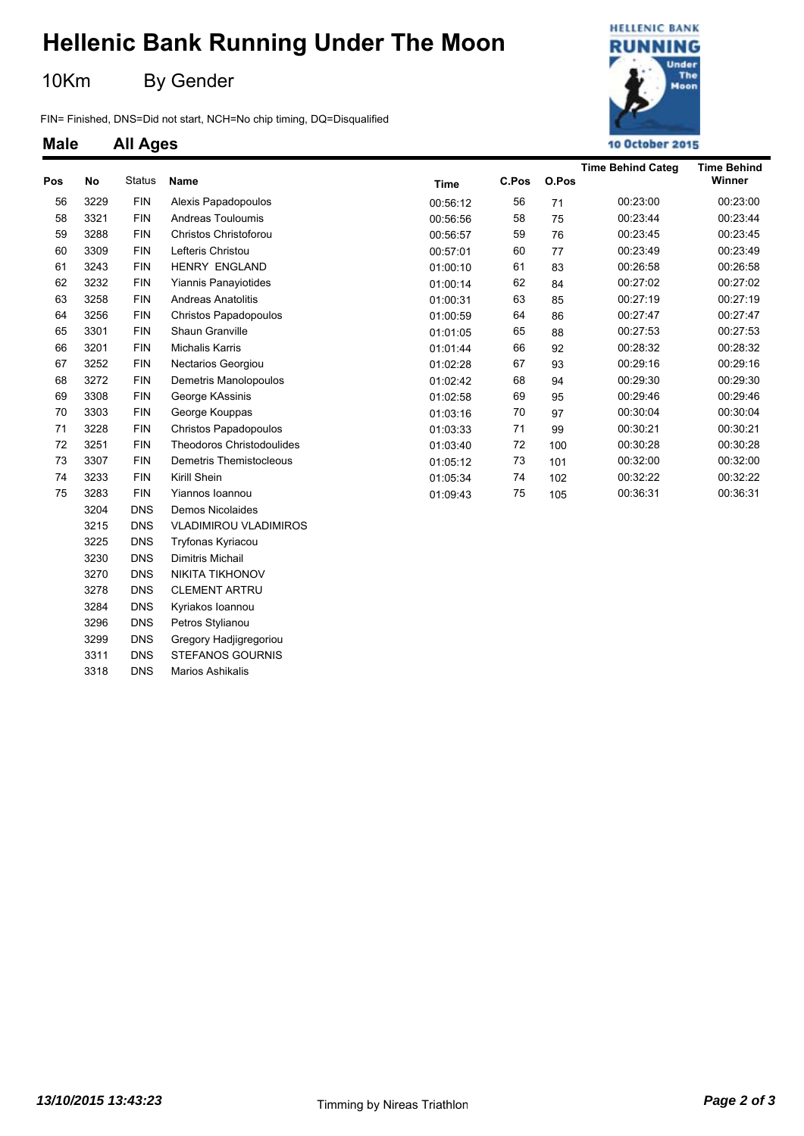## **Hellenic Bank Running Under The Moon**

10Km By Gender

3230 DNS Dimitris Michail 3270 DNS NIKITA TIKHONOV 3278 DNS CLEMENT ARTRU 3284 DNS Kyriakos Ioannou 3296 DNS Petros Stylianou 3299 DNS Gregory Hadjigregoriou 3311 DNS STEFANOS GOURNIS 3318 DNS Marios Ashikalis

FIN= Finished, DNS=Did not start, NCH=No chip timing, DQ=Disqualified



**Time Behind Categ Time Behind**

# **Male All Ages Pos No Name Time C.Pos O.Pos** Status **Winner** 56 3229 FIN Alexis Papadopoulos 00:56:12 56 71 00:23:00 00:23:00

| ບບ | ວ∠∠ອ | гшч        | Alexis Fapauppoulos              | UU:50:12 | ບບ | 71  | <b>UU.23.UU</b> | <b>UU.23.UU</b> |
|----|------|------------|----------------------------------|----------|----|-----|-----------------|-----------------|
| 58 | 3321 | <b>FIN</b> | Andreas Touloumis                | 00:56:56 | 58 | 75  | 00:23:44        | 00:23:44        |
| 59 | 3288 | <b>FIN</b> | Christos Christoforou            | 00:56:57 | 59 | 76  | 00:23:45        | 00:23:45        |
| 60 | 3309 | <b>FIN</b> | Lefteris Christou                | 00:57:01 | 60 | 77  | 00:23:49        | 00:23:49        |
| 61 | 3243 | <b>FIN</b> | <b>HENRY ENGLAND</b>             | 01:00:10 | 61 | 83  | 00:26:58        | 00:26:58        |
| 62 | 3232 | <b>FIN</b> | Yiannis Panayiotides             | 01:00:14 | 62 | 84  | 00:27:02        | 00:27:02        |
| 63 | 3258 | <b>FIN</b> | <b>Andreas Anatolitis</b>        | 01:00:31 | 63 | 85  | 00:27:19        | 00:27:19        |
| 64 | 3256 | <b>FIN</b> | Christos Papadopoulos            | 01:00:59 | 64 | 86  | 00:27:47        | 00:27:47        |
| 65 | 3301 | <b>FIN</b> | Shaun Granville                  | 01:01:05 | 65 | 88  | 00:27:53        | 00:27:53        |
| 66 | 3201 | <b>FIN</b> | <b>Michalis Karris</b>           | 01:01:44 | 66 | 92  | 00:28:32        | 00:28:32        |
| 67 | 3252 | <b>FIN</b> | <b>Nectarios Georgiou</b>        | 01:02:28 | 67 | 93  | 00:29:16        | 00:29:16        |
| 68 | 3272 | <b>FIN</b> | Demetris Manolopoulos            | 01:02:42 | 68 | 94  | 00:29:30        | 00:29:30        |
| 69 | 3308 | <b>FIN</b> | George KAssinis                  | 01:02:58 | 69 | 95  | 00:29:46        | 00:29:46        |
| 70 | 3303 | <b>FIN</b> | George Kouppas                   | 01:03:16 | 70 | 97  | 00:30:04        | 00:30:04        |
| 71 | 3228 | <b>FIN</b> | Christos Papadopoulos            | 01:03:33 | 71 | 99  | 00:30:21        | 00:30:21        |
| 72 | 3251 | <b>FIN</b> | <b>Theodoros Christodoulides</b> | 01:03:40 | 72 | 100 | 00:30:28        | 00:30:28        |
| 73 | 3307 | <b>FIN</b> | Demetris Themistocleous          | 01:05:12 | 73 | 101 | 00:32:00        | 00:32:00        |
| 74 | 3233 | <b>FIN</b> | Kirill Shein                     | 01:05:34 | 74 | 102 | 00:32:22        | 00:32:22        |
| 75 | 3283 | <b>FIN</b> | Yiannos Ioannou                  | 01:09:43 | 75 | 105 | 00:36:31        | 00:36:31        |
|    | 3204 | <b>DNS</b> | Demos Nicolaides                 |          |    |     |                 |                 |
|    | 3215 | <b>DNS</b> | <b>VLADIMIROU VLADIMIROS</b>     |          |    |     |                 |                 |
|    | 3225 | <b>DNS</b> | Tryfonas Kyriacou                |          |    |     |                 |                 |